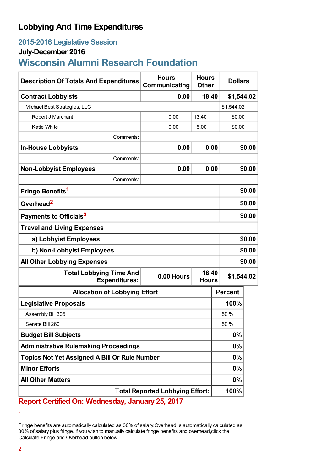## **Lobbying And Time Expenditures**

## **2015-2016 Legislative Session**

### **July-December 2016**

# **Wisconsin Alumni Research Foundation**

| <b>Description Of Totals And Expenditures</b>          | <b>Hours</b><br>Communicating | <b>Hours</b><br><b>Other</b> | <b>Dollars</b> |            |  |
|--------------------------------------------------------|-------------------------------|------------------------------|----------------|------------|--|
| <b>Contract Lobbyists</b>                              | 0.00                          | 18.40                        |                | \$1,544.02 |  |
| Michael Best Strategies, LLC                           |                               |                              | \$1,544.02     |            |  |
| Robert J Marchant                                      | 0.00                          | 13.40                        | \$0.00         |            |  |
| <b>Katie White</b>                                     | 0.00                          | 5.00                         | \$0.00         |            |  |
| Comments:                                              |                               |                              |                |            |  |
| <b>In-House Lobbyists</b>                              | 0.00                          | 0.00                         |                | \$0.00     |  |
| Comments:                                              |                               |                              |                |            |  |
| <b>Non-Lobbyist Employees</b>                          | 0.00                          | 0.00                         |                | \$0.00     |  |
| Comments:                                              |                               |                              |                |            |  |
| Fringe Benefits <sup>1</sup>                           |                               |                              |                | \$0.00     |  |
| Overhead <sup>2</sup>                                  |                               |                              |                | \$0.00     |  |
| Payments to Officials <sup>3</sup>                     |                               |                              |                | \$0.00     |  |
| <b>Travel and Living Expenses</b>                      |                               |                              |                |            |  |
| a) Lobbyist Employees                                  |                               |                              |                | \$0.00     |  |
| b) Non-Lobbyist Employees                              |                               |                              |                | \$0.00     |  |
| <b>All Other Lobbying Expenses</b>                     |                               |                              |                | \$0.00     |  |
| <b>Total Lobbying Time And</b><br><b>Expenditures:</b> | 0.00 Hours                    | 18.40<br><b>Hours</b>        | \$1,544.02     |            |  |
| <b>Allocation of Lobbying Effort</b>                   |                               |                              | <b>Percent</b> |            |  |
| <b>Legislative Proposals</b>                           |                               |                              | 100%           |            |  |
| Assembly Bill 305                                      |                               |                              | 50 %           |            |  |
| Senate Bill 260                                        |                               |                              | 50 %           |            |  |
| <b>Budget Bill Subjects</b>                            |                               |                              | $0\%$          |            |  |
| <b>Administrative Rulemaking Proceedings</b>           |                               |                              | $0\%$          |            |  |
| <b>Topics Not Yet Assigned A Bill Or Rule Number</b>   |                               |                              | $0\%$          |            |  |
| <b>Minor Efforts</b>                                   |                               |                              | $0\%$          |            |  |
| <b>All Other Matters</b>                               |                               |                              | $0\%$          |            |  |
| <b>Total Reported Lobbying Effort:</b>                 |                               |                              | 100%           |            |  |

**Report Certified On: Wednesday, January 25, 2017**

<sup>1.</sup>

Fringe benefits are automatically calculated as 30% of salary.Overhead is automatically calculated as 30% of salary plus fringe. If you wish to manually calculate fringe benefits and overhead,click the Calculate Fringe and Overhead button below: